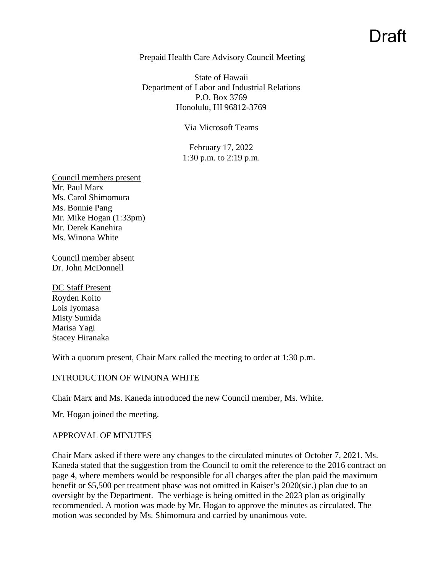# Draft

### Prepaid Health Care Advisory Council Meeting

State of Hawaii Department of Labor and Industrial Relations P.O. Box 3769 Honolulu, HI 96812-3769

#### Via Microsoft Teams

February 17, 2022 1:30 p.m. to 2:19 p.m.

Council members present Mr. Paul Marx Ms. Carol Shimomura Ms. Bonnie Pang Mr. Mike Hogan (1:33pm) Mr. Derek Kanehira Ms. Winona White

Council member absent Dr. John McDonnell

DC Staff Present Royden Koito Lois Iyomasa Misty Sumida Marisa Yagi Stacey Hiranaka

With a quorum present, Chair Marx called the meeting to order at 1:30 p.m.

## INTRODUCTION OF WINONA WHITE

Chair Marx and Ms. Kaneda introduced the new Council member, Ms. White.

Mr. Hogan joined the meeting.

## APPROVAL OF MINUTES

Chair Marx asked if there were any changes to the circulated minutes of October 7, 2021. Ms. Kaneda stated that the suggestion from the Council to omit the reference to the 2016 contract on page 4, where members would be responsible for all charges after the plan paid the maximum benefit or \$5,500 per treatment phase was not omitted in Kaiser's 2020(sic.) plan due to an oversight by the Department. The verbiage is being omitted in the 2023 plan as originally recommended. A motion was made by Mr. Hogan to approve the minutes as circulated. The motion was seconded by Ms. Shimomura and carried by unanimous vote.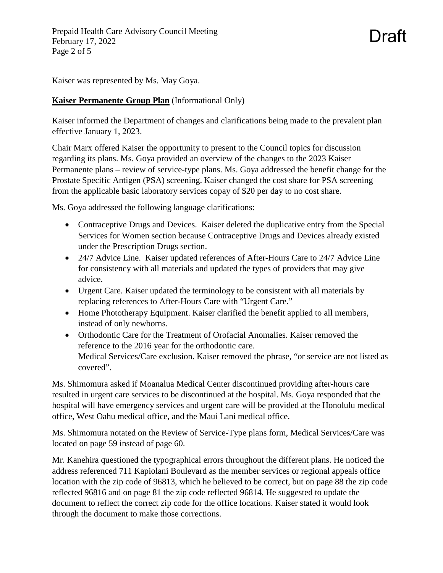Prepaid Health Care Advisory Council Meeting February 17, 2022 Page 2 of 5

Kaiser was represented by Ms. May Goya.

## **Kaiser Permanente Group Plan** (Informational Only)

Kaiser informed the Department of changes and clarifications being made to the prevalent plan effective January 1, 2023.

Draft

Chair Marx offered Kaiser the opportunity to present to the Council topics for discussion regarding its plans. Ms. Goya provided an overview of the changes to the 2023 Kaiser Permanente plans – review of service-type plans. Ms. Goya addressed the benefit change for the Prostate Specific Antigen (PSA) screening. Kaiser changed the cost share for PSA screening from the applicable basic laboratory services copay of \$20 per day to no cost share.

Ms. Goya addressed the following language clarifications:

- Contraceptive Drugs and Devices. Kaiser deleted the duplicative entry from the Special Services for Women section because Contraceptive Drugs and Devices already existed under the Prescription Drugs section.
- 24/7 Advice Line. Kaiser updated references of After-Hours Care to 24/7 Advice Line for consistency with all materials and updated the types of providers that may give advice.
- Urgent Care. Kaiser updated the terminology to be consistent with all materials by replacing references to After-Hours Care with "Urgent Care."
- Home Phototherapy Equipment. Kaiser clarified the benefit applied to all members, instead of only newborns.
- Orthodontic Care for the Treatment of Orofacial Anomalies. Kaiser removed the reference to the 2016 year for the orthodontic care. Medical Services/Care exclusion. Kaiser removed the phrase, "or service are not listed as covered".

Ms. Shimomura asked if Moanalua Medical Center discontinued providing after-hours care resulted in urgent care services to be discontinued at the hospital. Ms. Goya responded that the hospital will have emergency services and urgent care will be provided at the Honolulu medical office, West Oahu medical office, and the Maui Lani medical office.

Ms. Shimomura notated on the Review of Service-Type plans form, Medical Services/Care was located on page 59 instead of page 60.

Mr. Kanehira questioned the typographical errors throughout the different plans. He noticed the address referenced 711 Kapiolani Boulevard as the member services or regional appeals office location with the zip code of 96813, which he believed to be correct, but on page 88 the zip code reflected 96816 and on page 81 the zip code reflected 96814. He suggested to update the document to reflect the correct zip code for the office locations. Kaiser stated it would look through the document to make those corrections.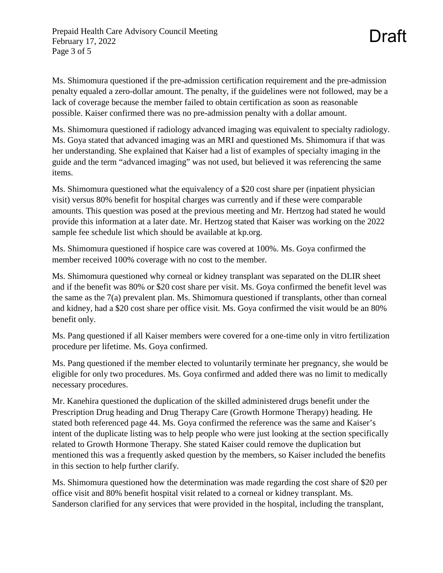Ms. Shimomura questioned if the pre-admission certification requirement and the pre-admission penalty equaled a zero-dollar amount. The penalty, if the guidelines were not followed, may be a lack of coverage because the member failed to obtain certification as soon as reasonable possible. Kaiser confirmed there was no pre-admission penalty with a dollar amount.

Draft

Ms. Shimomura questioned if radiology advanced imaging was equivalent to specialty radiology. Ms. Goya stated that advanced imaging was an MRI and questioned Ms. Shimomura if that was her understanding. She explained that Kaiser had a list of examples of specialty imaging in the guide and the term "advanced imaging" was not used, but believed it was referencing the same items.

Ms. Shimomura questioned what the equivalency of a \$20 cost share per (inpatient physician visit) versus 80% benefit for hospital charges was currently and if these were comparable amounts. This question was posed at the previous meeting and Mr. Hertzog had stated he would provide this information at a later date. Mr. Hertzog stated that Kaiser was working on the 2022 sample fee schedule list which should be available at kp.org.

Ms. Shimomura questioned if hospice care was covered at 100%. Ms. Goya confirmed the member received 100% coverage with no cost to the member.

Ms. Shimomura questioned why corneal or kidney transplant was separated on the DLIR sheet and if the benefit was 80% or \$20 cost share per visit. Ms. Goya confirmed the benefit level was the same as the 7(a) prevalent plan. Ms. Shimomura questioned if transplants, other than corneal and kidney, had a \$20 cost share per office visit. Ms. Goya confirmed the visit would be an 80% benefit only.

Ms. Pang questioned if all Kaiser members were covered for a one-time only in vitro fertilization procedure per lifetime. Ms. Goya confirmed.

Ms. Pang questioned if the member elected to voluntarily terminate her pregnancy, she would be eligible for only two procedures. Ms. Goya confirmed and added there was no limit to medically necessary procedures.

Mr. Kanehira questioned the duplication of the skilled administered drugs benefit under the Prescription Drug heading and Drug Therapy Care (Growth Hormone Therapy) heading. He stated both referenced page 44. Ms. Goya confirmed the reference was the same and Kaiser's intent of the duplicate listing was to help people who were just looking at the section specifically related to Growth Hormone Therapy. She stated Kaiser could remove the duplication but mentioned this was a frequently asked question by the members, so Kaiser included the benefits in this section to help further clarify.

Ms. Shimomura questioned how the determination was made regarding the cost share of \$20 per office visit and 80% benefit hospital visit related to a corneal or kidney transplant. Ms. Sanderson clarified for any services that were provided in the hospital, including the transplant,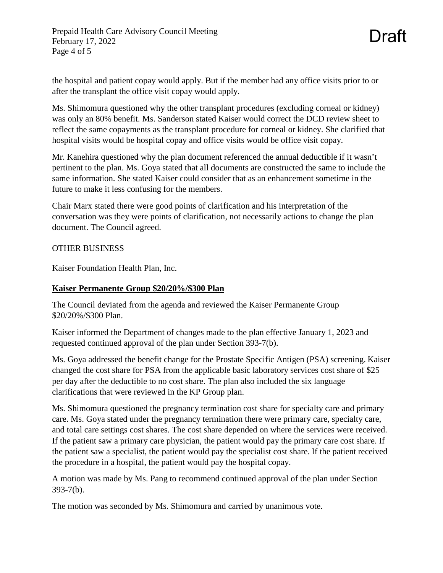the hospital and patient copay would apply. But if the member had any office visits prior to or after the transplant the office visit copay would apply.

Ms. Shimomura questioned why the other transplant procedures (excluding corneal or kidney) was only an 80% benefit. Ms. Sanderson stated Kaiser would correct the DCD review sheet to reflect the same copayments as the transplant procedure for corneal or kidney. She clarified that hospital visits would be hospital copay and office visits would be office visit copay.

Mr. Kanehira questioned why the plan document referenced the annual deductible if it wasn't pertinent to the plan. Ms. Goya stated that all documents are constructed the same to include the same information. She stated Kaiser could consider that as an enhancement sometime in the future to make it less confusing for the members.

Chair Marx stated there were good points of clarification and his interpretation of the conversation was they were points of clarification, not necessarily actions to change the plan document. The Council agreed.

## OTHER BUSINESS

Kaiser Foundation Health Plan, Inc.

## **Kaiser Permanente Group \$20/20%/\$300 Plan**

The Council deviated from the agenda and reviewed the Kaiser Permanente Group \$20/20%/\$300 Plan.

Kaiser informed the Department of changes made to the plan effective January 1, 2023 and requested continued approval of the plan under Section 393-7(b).

Ms. Goya addressed the benefit change for the Prostate Specific Antigen (PSA) screening. Kaiser changed the cost share for PSA from the applicable basic laboratory services cost share of \$25 per day after the deductible to no cost share. The plan also included the six language clarifications that were reviewed in the KP Group plan.

Ms. Shimomura questioned the pregnancy termination cost share for specialty care and primary care. Ms. Goya stated under the pregnancy termination there were primary care, specialty care, and total care settings cost shares. The cost share depended on where the services were received. If the patient saw a primary care physician, the patient would pay the primary care cost share. If the patient saw a specialist, the patient would pay the specialist cost share. If the patient received the procedure in a hospital, the patient would pay the hospital copay.

A motion was made by Ms. Pang to recommend continued approval of the plan under Section 393-7(b).

The motion was seconded by Ms. Shimomura and carried by unanimous vote.